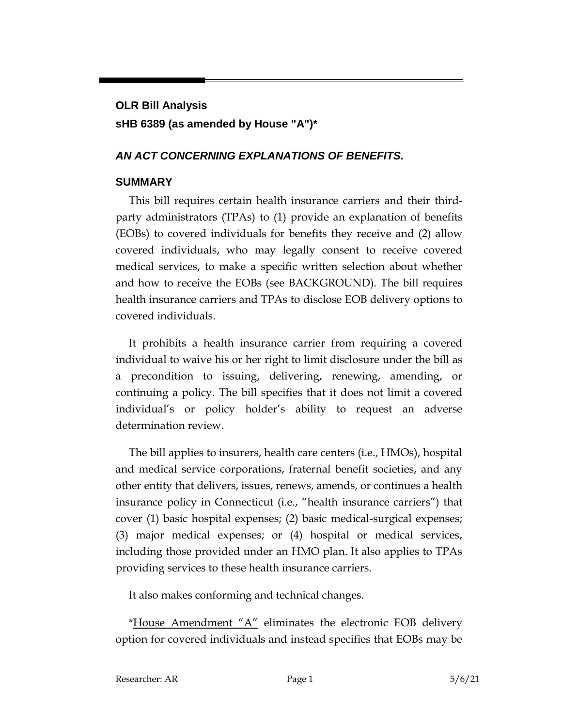# **OLR Bill Analysis sHB 6389 (as amended by House "A")\***

## *AN ACT CONCERNING EXPLANATIONS OF BENEFITS.*

## **SUMMARY**

This bill requires certain health insurance carriers and their thirdparty administrators (TPAs) to (1) provide an explanation of benefits (EOBs) to covered individuals for benefits they receive and (2) allow covered individuals, who may legally consent to receive covered medical services, to make a specific written selection about whether and how to receive the EOBs (see BACKGROUND). The bill requires health insurance carriers and TPAs to disclose EOB delivery options to covered individuals.

It prohibits a health insurance carrier from requiring a covered individual to waive his or her right to limit disclosure under the bill as a precondition to issuing, delivering, renewing, amending, or continuing a policy. The bill specifies that it does not limit a covered individual's or policy holder's ability to request an adverse determination review.

The bill applies to insurers, health care centers (i.e., HMOs), hospital and medical service corporations, fraternal benefit societies, and any other entity that delivers, issues, renews, amends, or continues a health insurance policy in Connecticut (i.e., "health insurance carriers") that cover (1) basic hospital expenses; (2) basic medical-surgical expenses; (3) major medical expenses; or (4) hospital or medical services, including those provided under an HMO plan. It also applies to TPAs providing services to these health insurance carriers.

It also makes conforming and technical changes.

\*House Amendment "A" eliminates the electronic EOB delivery option for covered individuals and instead specifies that EOBs may be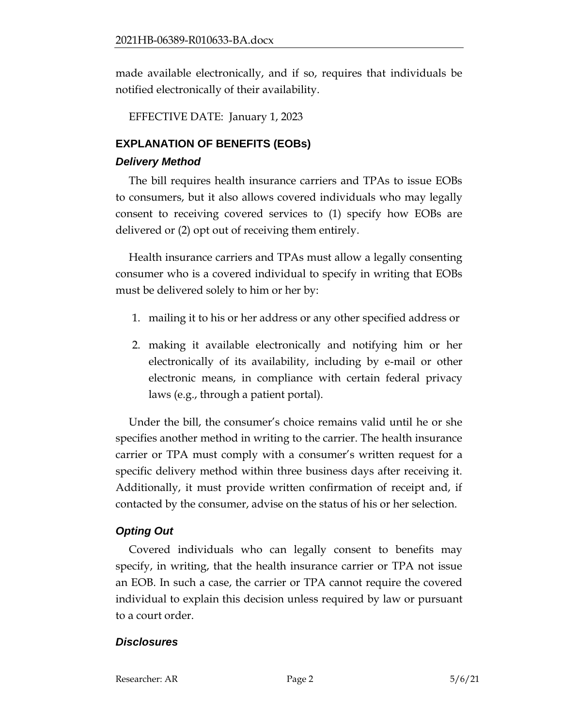made available electronically, and if so, requires that individuals be notified electronically of their availability.

EFFECTIVE DATE: January 1, 2023

## **EXPLANATION OF BENEFITS (EOBs)**

#### *Delivery Method*

The bill requires health insurance carriers and TPAs to issue EOBs to consumers, but it also allows covered individuals who may legally consent to receiving covered services to (1) specify how EOBs are delivered or (2) opt out of receiving them entirely.

Health insurance carriers and TPAs must allow a legally consenting consumer who is a covered individual to specify in writing that EOBs must be delivered solely to him or her by:

- 1. mailing it to his or her address or any other specified address or
- 2. making it available electronically and notifying him or her electronically of its availability, including by e-mail or other electronic means, in compliance with certain federal privacy laws (e.g., through a patient portal).

Under the bill, the consumer's choice remains valid until he or she specifies another method in writing to the carrier. The health insurance carrier or TPA must comply with a consumer's written request for a specific delivery method within three business days after receiving it. Additionally, it must provide written confirmation of receipt and, if contacted by the consumer, advise on the status of his or her selection.

# *Opting Out*

Covered individuals who can legally consent to benefits may specify, in writing, that the health insurance carrier or TPA not issue an EOB. In such a case, the carrier or TPA cannot require the covered individual to explain this decision unless required by law or pursuant to a court order.

#### *Disclosures*

Researcher: AR Page 2 5/6/21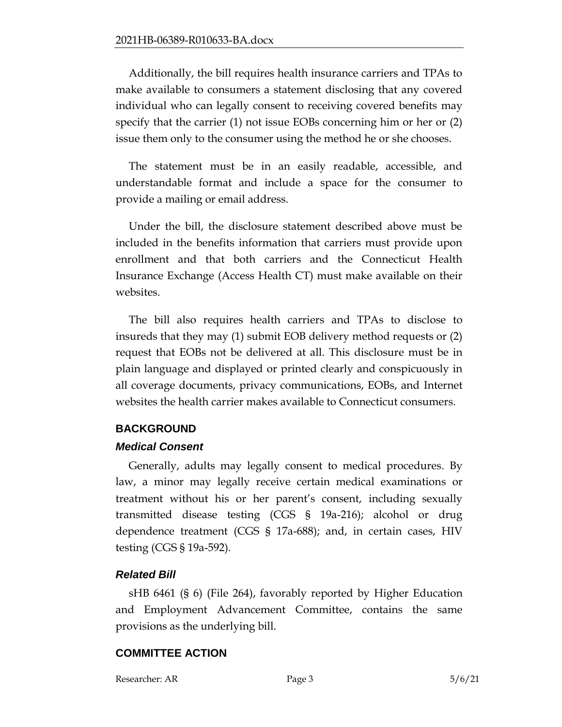Additionally, the bill requires health insurance carriers and TPAs to make available to consumers a statement disclosing that any covered individual who can legally consent to receiving covered benefits may specify that the carrier (1) not issue EOBs concerning him or her or (2) issue them only to the consumer using the method he or she chooses.

The statement must be in an easily readable, accessible, and understandable format and include a space for the consumer to provide a mailing or email address.

Under the bill, the disclosure statement described above must be included in the benefits information that carriers must provide upon enrollment and that both carriers and the Connecticut Health Insurance Exchange (Access Health CT) must make available on their websites.

The bill also requires health carriers and TPAs to disclose to insureds that they may (1) submit EOB delivery method requests or (2) request that EOBs not be delivered at all. This disclosure must be in plain language and displayed or printed clearly and conspicuously in all coverage documents, privacy communications, EOBs, and Internet websites the health carrier makes available to Connecticut consumers.

#### **BACKGROUND**

#### *Medical Consent*

Generally, adults may legally consent to medical procedures. By law, a minor may legally receive certain medical examinations or treatment without his or her parent's consent, including sexually transmitted disease testing (CGS § 19a-216); alcohol or drug dependence treatment (CGS § 17a-688); and, in certain cases, HIV testing (CGS § 19a-592).

#### *Related Bill*

sHB 6461 (§ 6) (File 264), favorably reported by Higher Education and Employment Advancement Committee, contains the same provisions as the underlying bill.

# **COMMITTEE ACTION**

Researcher: AR Page 3 5/6/21